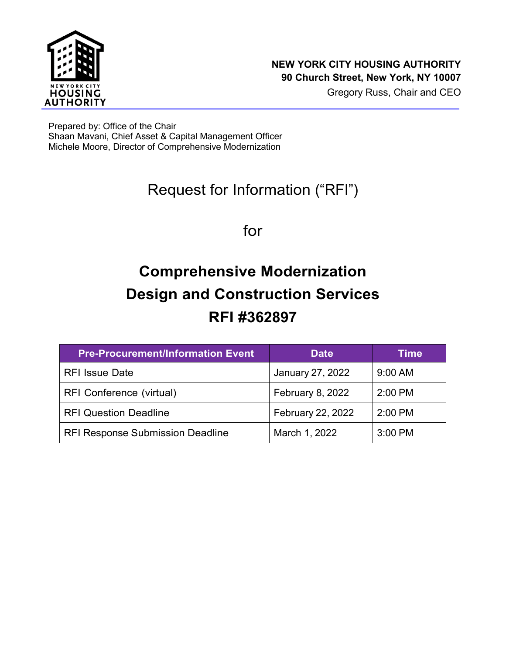

Prepared by: Office of the Chair Shaan Mavani, Chief Asset & Capital Management Officer Michele Moore, Director of Comprehensive Modernization

## Request for Information ("RFI")

for

# **Comprehensive Modernization Design and Construction Services RFI #362897**

| <b>Pre-Procurement/Information Event</b> | <b>Date</b>       | Time      |
|------------------------------------------|-------------------|-----------|
| <b>RFI Issue Date</b>                    | January 27, 2022  | 9:00 AM   |
| RFI Conference (virtual)                 | February 8, 2022  | $2:00$ PM |
| <b>RFI Question Deadline</b>             | February 22, 2022 | $2:00$ PM |
| <b>RFI Response Submission Deadline</b>  | March 1, 2022     | 3:00 PM   |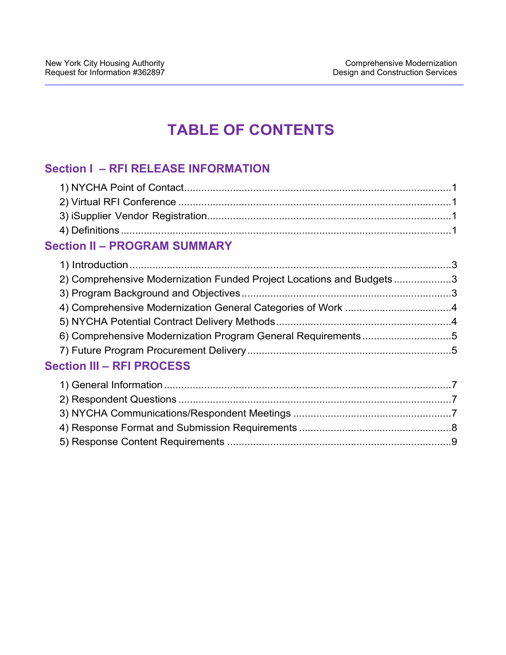## **TABLE OF CONTENTS**

## **Section I – RFI RELEASE INFORMATION**

## **Section II – PROGRAM SUMMARY**

| 2) Comprehensive Modernization Funded Project Locations and Budgets3 |   |
|----------------------------------------------------------------------|---|
|                                                                      |   |
|                                                                      |   |
|                                                                      |   |
| 6) Comprehensive Modernization Program General Requirements5         |   |
|                                                                      |   |
| <b>Section III - RFI PROCESS</b>                                     |   |
|                                                                      |   |
| 2) Pernandent Questions                                              | 7 |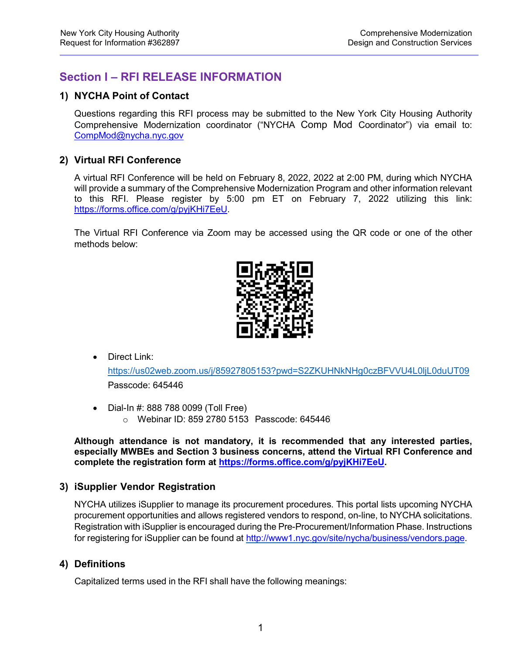## **Section I – RFI RELEASE INFORMATION**

#### **1) NYCHA Point of Contact**

Questions regarding this RFI process may be submitted to the New York City Housing Authority Comprehensive Modernization coordinator ("NYCHA Comp Mod Coordinator") via email to: [CompMod@nycha.nyc.gov](mailto:CompMod@nycha.nyc.gov)

#### **2) Virtual RFI Conference**

A virtual RFI Conference will be held on February 8, 2022, 2022 at 2:00 PM, during which NYCHA will provide a summary of the Comprehensive Modernization Program and other information relevant to this RFI. Please register by 5:00 pm ET on February 7, 2022 utilizing this link: [https://forms.office.com/g/pyjKHi7EeU.](https://forms.office.com/g/pyjKHi7EeU)

The Virtual RFI Conference via Zoom may be accessed using the QR code or one of the other methods below:



• Direct Link:

https://us02web.zoom.us/j/85927805153?pwd=S2ZKUHNkNHg0czBFVVU4L0ljL0duUT09 Passcode: 645446

• Dial-In #: 888 788 0099 (Toll Free) o Webinar ID: 859 2780 5153 Passcode: 645446

**Although attendance is not mandatory, it is recommended that any interested parties, especially MWBEs and Section 3 business concerns, attend the Virtual RFI Conference and complete the registration form at [https://forms.office.com/g/pyjKHi7EeU.](https://forms.office.com/g/pyjKHi7EeU)** 

#### **3) iSupplier Vendor Registration**

NYCHA utilizes iSupplier to manage its procurement procedures. This portal lists upcoming NYCHA procurement opportunities and allows registered vendors to respond, on-line, to NYCHA solicitations. Registration with iSupplier is encouraged during the Pre-Procurement/Information Phase. Instructions for registering for iSupplier can be found at [http://www1.nyc.gov/site/nycha/business/vendors.page.](http://www1.nyc.gov/site/nycha/business/vendors.page)

#### **4) Definitions**

Capitalized terms used in the RFI shall have the following meanings: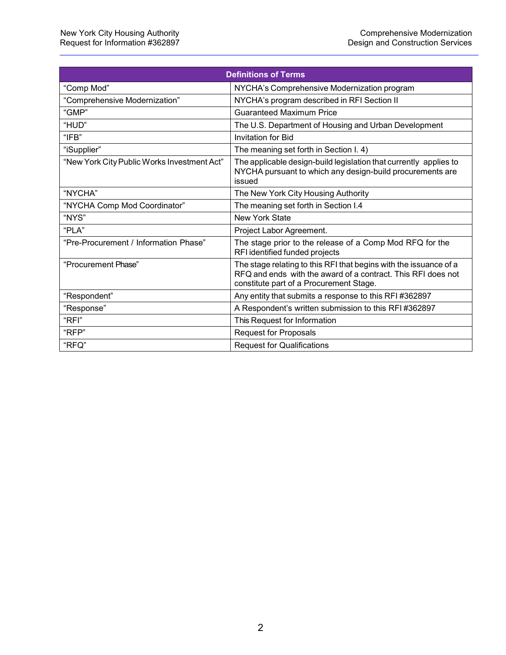|                                             | <b>Definitions of Terms</b>                                                                                                                                                  |
|---------------------------------------------|------------------------------------------------------------------------------------------------------------------------------------------------------------------------------|
| "Comp Mod"                                  | NYCHA's Comprehensive Modernization program                                                                                                                                  |
| "Comprehensive Modernization"               | NYCHA's program described in RFI Section II                                                                                                                                  |
| "GMP"                                       | <b>Guaranteed Maximum Price</b>                                                                                                                                              |
| "HUD"                                       | The U.S. Department of Housing and Urban Development                                                                                                                         |
| "IFB"                                       | <b>Invitation for Bid</b>                                                                                                                                                    |
| "iSupplier"                                 | The meaning set forth in Section I. 4)                                                                                                                                       |
| "New York City Public Works Investment Act" | The applicable design-build legislation that currently applies to<br>NYCHA pursuant to which any design-build procurements are<br>issued                                     |
| "NYCHA"                                     | The New York City Housing Authority                                                                                                                                          |
| "NYCHA Comp Mod Coordinator"                | The meaning set forth in Section I.4                                                                                                                                         |
| "NYS"                                       | <b>New York State</b>                                                                                                                                                        |
| "PLA"                                       | Project Labor Agreement.                                                                                                                                                     |
| "Pre-Procurement / Information Phase"       | The stage prior to the release of a Comp Mod RFQ for the<br>RFI identified funded projects                                                                                   |
| "Procurement Phase"                         | The stage relating to this RFI that begins with the issuance of a<br>RFQ and ends with the award of a contract. This RFI does not<br>constitute part of a Procurement Stage. |
| "Respondent"                                | Any entity that submits a response to this RFI #362897                                                                                                                       |
| "Response"                                  | A Respondent's written submission to this RFI#362897                                                                                                                         |
| "RFI"                                       | This Request for Information                                                                                                                                                 |
| "RFP"                                       | <b>Request for Proposals</b>                                                                                                                                                 |
| "RFQ"                                       | <b>Request for Qualifications</b>                                                                                                                                            |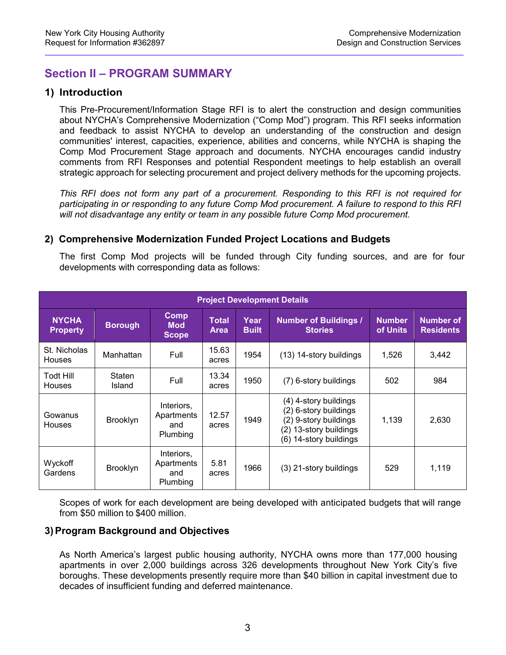### **Section II – PROGRAM SUMMARY**

#### **1) Introduction**

This Pre-Procurement/Information Stage RFI is to alert the construction and design communities about NYCHA's Comprehensive Modernization ("Comp Mod") program. This RFI seeks information and feedback to assist NYCHA to develop an understanding of the construction and design communities' interest, capacities, experience, abilities and concerns, while NYCHA is shaping the Comp Mod Procurement Stage approach and documents. NYCHA encourages candid industry comments from RFI Responses and potential Respondent meetings to help establish an overall strategic approach for selecting procurement and project delivery methods for the upcoming projects.

*This RFI does not form any part of a procurement. Responding to this RFI is not required for participating in or responding to any future Comp Mod procurement. A failure to respond to this RFI will not disadvantage any entity or team in any possible future Comp Mod procurement.*

#### **2) Comprehensive Modernization Funded Project Locations and Budgets**

The first Comp Mod projects will be funded through City funding sources, and are for four developments with corresponding data as follows:

| <b>Project Development Details</b> |                         |                                             |                      |                      |                                                                                                                                   |                           |                               |
|------------------------------------|-------------------------|---------------------------------------------|----------------------|----------------------|-----------------------------------------------------------------------------------------------------------------------------------|---------------------------|-------------------------------|
| <b>NYCHA</b><br><b>Property</b>    | <b>Borough</b>          | <b>Comp</b><br><b>Mod</b><br><b>Scope</b>   | Total<br><b>Area</b> | Year<br><b>Built</b> | <b>Number of Buildings /</b><br><b>Stories</b>                                                                                    | <b>Number</b><br>of Units | Number of<br><b>Residents</b> |
| St. Nicholas<br><b>Houses</b>      | Manhattan               | Full                                        | 15.63<br>acres       | 1954                 | (13) 14-story buildings                                                                                                           | 1,526                     | 3,442                         |
| <b>Todt Hill</b><br><b>Houses</b>  | <b>Staten</b><br>Island | Full                                        | 13.34<br>acres       | 1950                 | (7) 6-story buildings                                                                                                             | 502                       | 984                           |
| Gowanus<br><b>Houses</b>           | <b>Brooklyn</b>         | Interiors,<br>Apartments<br>and<br>Plumbing | 12.57<br>acres       | 1949                 | (4) 4-story buildings<br>(2) 6-story buildings<br>(2) 9-story buildings<br>13-story buildings<br>(2)<br>14-story buildings<br>(6) | 1.139                     | 2,630                         |
| Wyckoff<br>Gardens                 | <b>Brooklyn</b>         | Interiors,<br>Apartments<br>and<br>Plumbing | 5.81<br>acres        | 1966                 | (3) 21-story buildings                                                                                                            | 529                       | 1,119                         |

Scopes of work for each development are being developed with anticipated budgets that will range from \$50 million to \$400 million.

#### **3) Program Background and Objectives**

As North America's largest public housing authority, NYCHA owns more than 177,000 housing apartments in over 2,000 buildings across 326 developments throughout New York City's five boroughs. These developments presently require more than \$40 billion in capital investment due to decades of insufficient funding and deferred maintenance.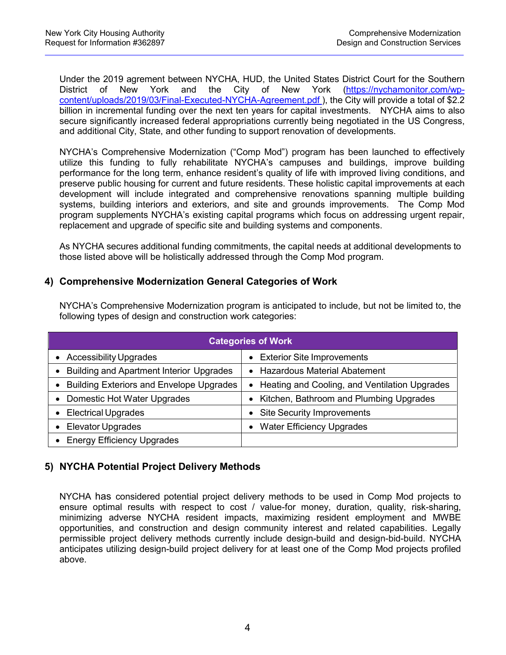Under the 2019 agrement between NYCHA, HUD, the United States District Court for the Southern District of New York and the City of New York [\(https://nychamonitor.com/wp](https://nychamonitor.com/wp-content/uploads/2019/03/Final-Executed-NYCHA-Agreement.pdf)[content/uploads/2019/03/Final-Executed-NYCHA-Agreement.pdf](https://nychamonitor.com/wp-content/uploads/2019/03/Final-Executed-NYCHA-Agreement.pdf) ), the City will provide a total of \$2.2 billion in incremental funding over the next ten years for capital investments. NYCHA aims to also secure significantly increased federal appropriations currently being negotiated in the US Congress, and additional City, State, and other funding to support renovation of developments.

NYCHA's Comprehensive Modernization ("Comp Mod") program has been launched to effectively utilize this funding to fully rehabilitate NYCHA's campuses and buildings, improve building performance for the long term, enhance resident's quality of life with improved living conditions, and preserve public housing for current and future residents. These holistic capital improvements at each development will include integrated and comprehensive renovations spanning multiple building systems, building interiors and exteriors, and site and grounds improvements. The Comp Mod program supplements NYCHA's existing capital programs which focus on addressing urgent repair, replacement and upgrade of specific site and building systems and components.

As NYCHA secures additional funding commitments, the capital needs at additional developments to those listed above will be holistically addressed through the Comp Mod program.

#### **4) Comprehensive Modernization General Categories of Work**

| <b>Categories of Work</b>                       |                                                 |  |  |
|-------------------------------------------------|-------------------------------------------------|--|--|
| <b>Accessibility Upgrades</b>                   | <b>Exterior Site Improvements</b>               |  |  |
| <b>Building and Apartment Interior Upgrades</b> | • Hazardous Material Abatement                  |  |  |
| <b>Building Exteriors and Envelope Upgrades</b> | • Heating and Cooling, and Ventilation Upgrades |  |  |
| Domestic Hot Water Upgrades<br>$\bullet$        | Kitchen, Bathroom and Plumbing Upgrades         |  |  |
| <b>Electrical Upgrades</b>                      | <b>Site Security Improvements</b>               |  |  |
| <b>Elevator Upgrades</b>                        | <b>Water Efficiency Upgrades</b>                |  |  |
| <b>Energy Efficiency Upgrades</b>               |                                                 |  |  |

NYCHA's Comprehensive Modernization program is anticipated to include, but not be limited to, the following types of design and construction work categories:

#### **5) NYCHA Potential Project Delivery Methods**

NYCHA has considered potential project delivery methods to be used in Comp Mod projects to ensure optimal results with respect to cost / value-for money, duration, quality, risk-sharing, minimizing adverse NYCHA resident impacts, maximizing resident employment and MWBE opportunities, and construction and design community interest and related capabilities. Legally permissible project delivery methods currently include design-build and design-bid-build. NYCHA anticipates utilizing design-build project delivery for at least one of the Comp Mod projects profiled above.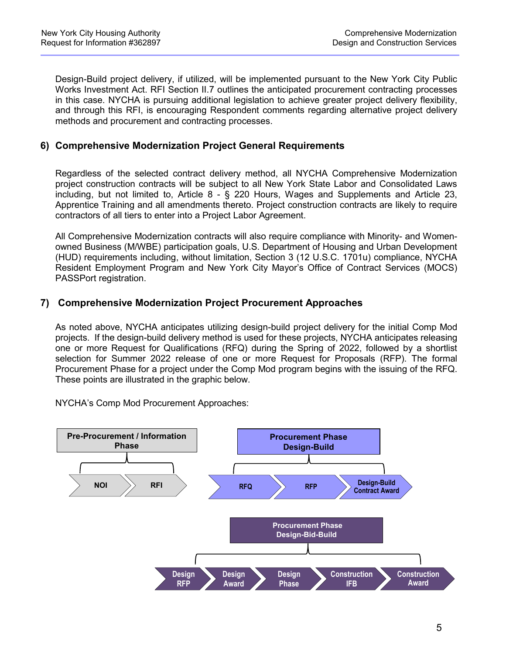Design-Build project delivery, if utilized, will be implemented pursuant to the New York City Public Works Investment Act. RFI Section II.7 outlines the anticipated procurement contracting processes in this case. NYCHA is pursuing additional legislation to achieve greater project delivery flexibility, and through this RFI, is encouraging Respondent comments regarding alternative project delivery methods and procurement and contracting processes.

#### **6) Comprehensive Modernization Project General Requirements**

Regardless of the selected contract delivery method, all NYCHA Comprehensive Modernization project construction contracts will be subject to all New York State Labor and Consolidated Laws including, but not limited to, Article 8 - § 220 Hours, Wages and Supplements and Article 23, Apprentice Training and all amendments thereto. Project construction contracts are likely to require contractors of all tiers to enter into a Project Labor Agreement.

All Comprehensive Modernization contracts will also require compliance with Minority- and Womenowned Business (M/WBE) participation goals, U.S. Department of Housing and Urban Development (HUD) requirements including, without limitation, Section 3 (12 U.S.C. 1701u) compliance, NYCHA Resident Employment Program and New York City Mayor's Office of Contract Services (MOCS) PASSPort registration.

#### **7) Comprehensive Modernization Project Procurement Approaches**

As noted above, NYCHA anticipates utilizing design-build project delivery for the initial Comp Mod projects. If the design-build delivery method is used for these projects, NYCHA anticipates releasing one or more Request for Qualifications (RFQ) during the Spring of 2022, followed by a shortlist selection for Summer 2022 release of one or more Request for Proposals (RFP). The formal Procurement Phase for a project under the Comp Mod program begins with the issuing of the RFQ. These points are illustrated in the graphic below.

NYCHA's Comp Mod Procurement Approaches:

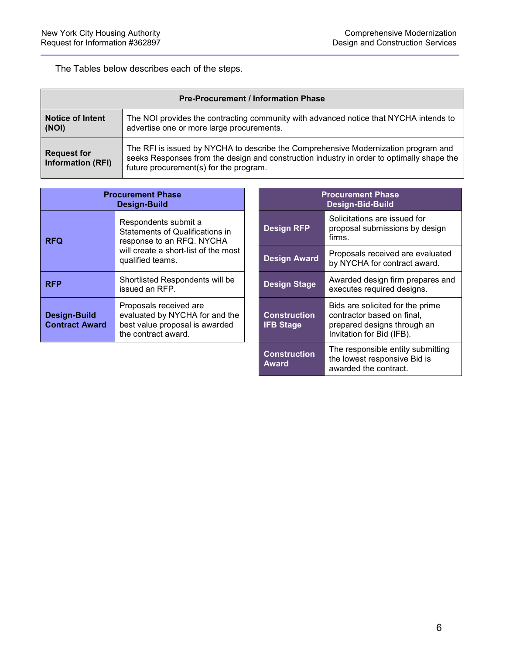The Tables below describes each of the steps.

| <b>Pre-Procurement / Information Phase</b>     |                                                                                                                                                                                                                           |  |  |
|------------------------------------------------|---------------------------------------------------------------------------------------------------------------------------------------------------------------------------------------------------------------------------|--|--|
| <b>Notice of Intent</b><br>(NOI)               | The NOI provides the contracting community with advanced notice that NYCHA intends to<br>advertise one or more large procurements.                                                                                        |  |  |
| <b>Request for</b><br><b>Information (RFI)</b> | The RFI is issued by NYCHA to describe the Comprehensive Modernization program and<br>seeks Responses from the design and construction industry in order to optimally shape the<br>future procurement(s) for the program. |  |  |

| <b>Procurement Phase</b><br><b>Design-Build</b> |                                                                                                                                                  |  |  |
|-------------------------------------------------|--------------------------------------------------------------------------------------------------------------------------------------------------|--|--|
| <b>RFQ</b>                                      | Respondents submit a<br>Statements of Qualifications in<br>response to an RFQ. NYCHA<br>will create a short-list of the most<br>qualified teams. |  |  |
| <b>RFP</b>                                      | Shortlisted Respondents will be<br>issued an RFP.                                                                                                |  |  |
| <b>Design-Build</b><br><b>Contract Award</b>    | Proposals received are<br>evaluated by NYCHA for and the<br>best value proposal is awarded<br>the contract award.                                |  |  |

| ะurement Phase<br><b>Design-Build</b>                                                                             | <b>Procurement Phase</b><br>Design-Bid-Build |                                                                                                                            |  |
|-------------------------------------------------------------------------------------------------------------------|----------------------------------------------|----------------------------------------------------------------------------------------------------------------------------|--|
| Respondents submit a<br><b>Statements of Qualifications in</b><br>response to an RFQ. NYCHA                       | <b>Design RFP</b>                            | Solicitations are issued for<br>proposal submissions by design<br>firms.                                                   |  |
| will create a short-list of the most<br>qualified teams.                                                          | <b>Design Award</b>                          | Proposals received are evaluated<br>by NYCHA for contract award.                                                           |  |
| Shortlisted Respondents will be<br>issued an RFP.                                                                 | <b>Design Stage</b>                          | Awarded design firm prepares and<br>executes required designs.                                                             |  |
| Proposals received are<br>evaluated by NYCHA for and the<br>best value proposal is awarded<br>the contract award. | <b>Construction</b><br><b>IFB Stage</b>      | Bids are solicited for the prime<br>contractor based on final,<br>prepared designs through an<br>Invitation for Bid (IFB). |  |
|                                                                                                                   | <b>Construction</b><br><b>Award</b>          | The responsible entity submitting<br>the lowest responsive Bid is<br>awarded the contract.                                 |  |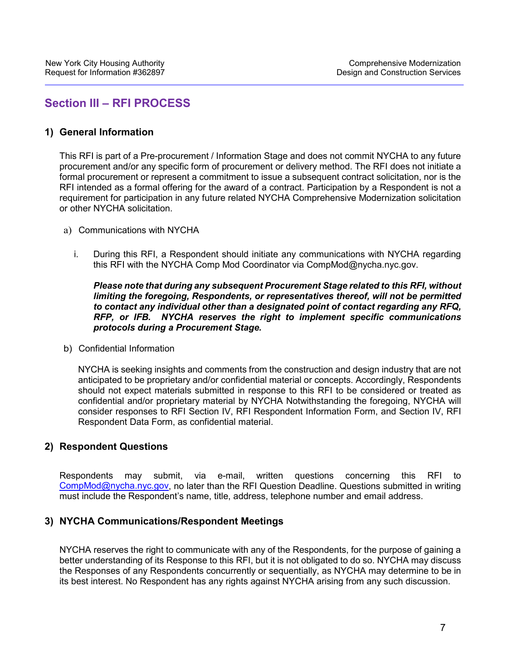### **Section III – RFI PROCESS**

#### **1) General Information**

This RFI is part of a Pre-procurement / Information Stage and does not commit NYCHA to any future procurement and/or any specific form of procurement or delivery method. The RFI does not initiate a formal procurement or represent a commitment to issue a subsequent contract solicitation, nor is the RFI intended as a formal offering for the award of a contract. Participation by a Respondent is not a requirement for participation in any future related NYCHA Comprehensive Modernization solicitation or other NYCHA solicitation.

- a) Communications with NYCHA
	- i. During this RFI, a Respondent should initiate any communications with NYCHA regarding this RFI with the NYCHA Comp Mod Coordinator via CompMod@nycha.nyc.gov.

*Please note that during any subsequent Procurement Stage related to this RFI, without limiting the foregoing, Respondents, or representatives thereof, will not be permitted to contact any individual other than a designated point of contact regarding any RFQ, RFP, or IFB. NYCHA reserves the right to implement specific communications protocols during a Procurement Stage.*

b) Confidential Information

NYCHA is seeking insights and comments from the construction and design industry that are not anticipated to be proprietary and/or confidential material or concepts. Accordingly, Respondents should not expect materials submitted in response to this RFI to be considered or treated as confidential and/or proprietary material by NYCHA Notwithstanding the foregoing, NYCHA will consider responses to RFI Section IV, RFI Respondent Information Form, and Section IV, RFI Respondent Data Form, as confidential material.

#### **2) Respondent Questions**

Respondents may submit, via e-mail, written questions concerning this RFI to [CompMod@nycha.nyc.gov,](mailto:CompMod@nycha.nyc.gov) no later than the RFI Question Deadline. Questions submitted in writing must include the Respondent's name, title, address, telephone number and email address.

#### **3) NYCHA Communications/Respondent Meetings**

NYCHA reserves the right to communicate with any of the Respondents, for the purpose of gaining a better understanding of its Response to this RFI, but it is not obligated to do so. NYCHA may discuss the Responses of any Respondents concurrently or sequentially, as NYCHA may determine to be in its best interest. No Respondent has any rights against NYCHA arising from any such discussion.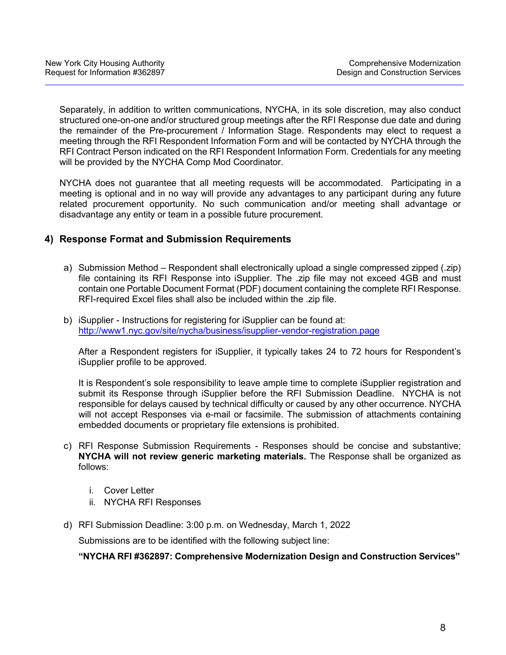Separately, in addition to written communications, NYCHA, in its sole discretion, may also conduct structured one-on-one and/or structured group meetings after the RFI Response due date and during the remainder of the Pre-procurement / Information Stage. Respondents may elect to request a meeting through the RFI Respondent Information Form and will be contacted by NYCHA through the RFI Contract Person indicated on the RFI Respondent Information Form. Credentials for any meeting will be provided by the NYCHA Comp Mod Coordinator.

NYCHA does not guarantee that all meeting requests will be accommodated. Participating in a meeting is optional and in no way will provide any advantages to any participant during any future related procurement opportunity. No such communication and/or meeting shall advantage or disadvantage any entity or team in a possible future procurement.

#### **4) Response Format and Submission Requirements**

- a) Submission Method Respondent shall electronically upload a single compressed zipped (.zip) file containing its RFI Response into iSupplier. The .zip file may not exceed 4GB and must contain one Portable Document Format (PDF) document containing the complete RFI Response. RFI-required Excel files shall also be included within the .zip file.
- b) iSupplier Instructions for registering for iSupplier can be found at: <http://www1.nyc.gov/site/nycha/business/isupplier-vendor-registration.page>

After a Respondent registers for iSupplier, it typically takes 24 to 72 hours for Respondent's iSupplier profile to be approved.

It is Respondent's sole responsibility to leave ample time to complete iSupplier registration and submit its Response through iSupplier before the RFI Submission Deadline. NYCHA is not responsible for delays caused by technical difficulty or caused by any other occurrence. NYCHA will not accept Responses via e-mail or facsimile. The submission of attachments containing embedded documents or proprietary file extensions is prohibited.

- c) RFI Response Submission Requirements Responses should be concise and substantive; **NYCHA will not review generic marketing materials.** The Response shall be organized as follows:
	- i. Cover Letter
	- ii. NYCHA RFI Responses
- d) RFI Submission Deadline: 3:00 p.m. on Wednesday, March 1, 2022

Submissions are to be identified with the following subject line:

**"NYCHA RFI #362897: Comprehensive Modernization Design and Construction Services"**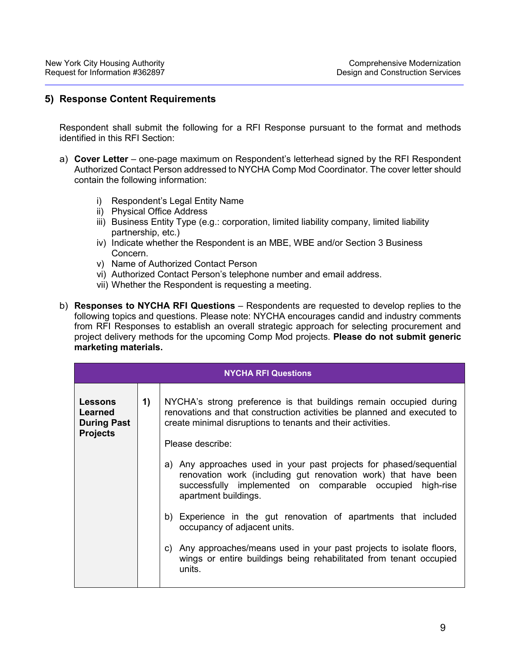#### **5) Response Content Requirements**

Respondent shall submit the following for a RFI Response pursuant to the format and methods identified in this RFI Section:

- a) **Cover Letter** one-page maximum on Respondent's letterhead signed by the RFI Respondent Authorized Contact Person addressed to NYCHA Comp Mod Coordinator. The cover letter should contain the following information:
	- i) Respondent's Legal Entity Name
	- ii) Physical Office Address
	- iii) Business Entity Type (e.g.: corporation, limited liability company, limited liability partnership, etc.)
	- iv) Indicate whether the Respondent is an MBE, WBE and/or Section 3 Business Concern.
	- v) Name of Authorized Contact Person
	- vi) Authorized Contact Person's telephone number and email address.
	- vii) Whether the Respondent is requesting a meeting.
- b) **Responses to NYCHA RFI Questions**  Respondents are requested to develop replies to the following topics and questions. Please note: NYCHA encourages candid and industry comments from RFI Responses to establish an overall strategic approach for selecting procurement and project delivery methods for the upcoming Comp Mod projects. **Please do not submit generic marketing materials.**

|                                                                           |              | <b>NYCHA RFI Questions</b>                                                                                                                                                                                                      |
|---------------------------------------------------------------------------|--------------|---------------------------------------------------------------------------------------------------------------------------------------------------------------------------------------------------------------------------------|
| <b>Lessons</b><br><b>Learned</b><br><b>During Past</b><br><b>Projects</b> | $\mathbf{1}$ | NYCHA's strong preference is that buildings remain occupied during<br>renovations and that construction activities be planned and executed to<br>create minimal disruptions to tenants and their activities.                    |
|                                                                           |              | Please describe:                                                                                                                                                                                                                |
|                                                                           |              | Any approaches used in your past projects for phased/sequential<br>a)<br>renovation work (including gut renovation work) that have been<br>successfully implemented on comparable occupied<br>high-rise<br>apartment buildings. |
|                                                                           |              | b) Experience in the gut renovation of apartments that included<br>occupancy of adjacent units.                                                                                                                                 |
|                                                                           |              | Any approaches/means used in your past projects to isolate floors,<br>C)<br>wings or entire buildings being rehabilitated from tenant occupied<br>units.                                                                        |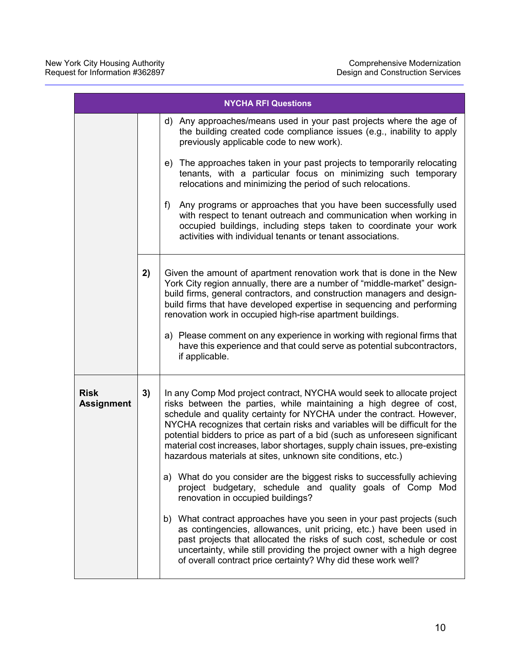|                                  |    | <b>NYCHA RFI Questions</b>                                                                                                                                                                                                                                                                                                                                                                                                                                                                                                                                                                                                                                                                                                                                                                                                                                                                                                                                                                                                                                                            |
|----------------------------------|----|---------------------------------------------------------------------------------------------------------------------------------------------------------------------------------------------------------------------------------------------------------------------------------------------------------------------------------------------------------------------------------------------------------------------------------------------------------------------------------------------------------------------------------------------------------------------------------------------------------------------------------------------------------------------------------------------------------------------------------------------------------------------------------------------------------------------------------------------------------------------------------------------------------------------------------------------------------------------------------------------------------------------------------------------------------------------------------------|
|                                  |    | d) Any approaches/means used in your past projects where the age of<br>the building created code compliance issues (e.g., inability to apply<br>previously applicable code to new work).                                                                                                                                                                                                                                                                                                                                                                                                                                                                                                                                                                                                                                                                                                                                                                                                                                                                                              |
|                                  |    | The approaches taken in your past projects to temporarily relocating<br>e)<br>tenants, with a particular focus on minimizing such temporary<br>relocations and minimizing the period of such relocations.                                                                                                                                                                                                                                                                                                                                                                                                                                                                                                                                                                                                                                                                                                                                                                                                                                                                             |
|                                  |    | Any programs or approaches that you have been successfully used<br>f)<br>with respect to tenant outreach and communication when working in<br>occupied buildings, including steps taken to coordinate your work<br>activities with individual tenants or tenant associations.                                                                                                                                                                                                                                                                                                                                                                                                                                                                                                                                                                                                                                                                                                                                                                                                         |
|                                  | 2) | Given the amount of apartment renovation work that is done in the New<br>York City region annually, there are a number of "middle-market" design-<br>build firms, general contractors, and construction managers and design-<br>build firms that have developed expertise in sequencing and performing<br>renovation work in occupied high-rise apartment buildings.<br>a) Please comment on any experience in working with regional firms that<br>have this experience and that could serve as potential subcontractors,<br>if applicable.                                                                                                                                                                                                                                                                                                                                                                                                                                                                                                                                           |
| <b>Risk</b><br><b>Assignment</b> | 3) | In any Comp Mod project contract, NYCHA would seek to allocate project<br>risks between the parties, while maintaining a high degree of cost,<br>schedule and quality certainty for NYCHA under the contract. However,<br>NYCHA recognizes that certain risks and variables will be difficult for the<br>potential bidders to price as part of a bid (such as unforeseen significant<br>material cost increases, labor shortages, supply chain issues, pre-existing<br>hazardous materials at sites, unknown site conditions, etc.)<br>a) What do you consider are the biggest risks to successfully achieving<br>project budgetary, schedule and quality goals of Comp Mod<br>renovation in occupied buildings?<br>b) What contract approaches have you seen in your past projects (such<br>as contingencies, allowances, unit pricing, etc.) have been used in<br>past projects that allocated the risks of such cost, schedule or cost<br>uncertainty, while still providing the project owner with a high degree<br>of overall contract price certainty? Why did these work well? |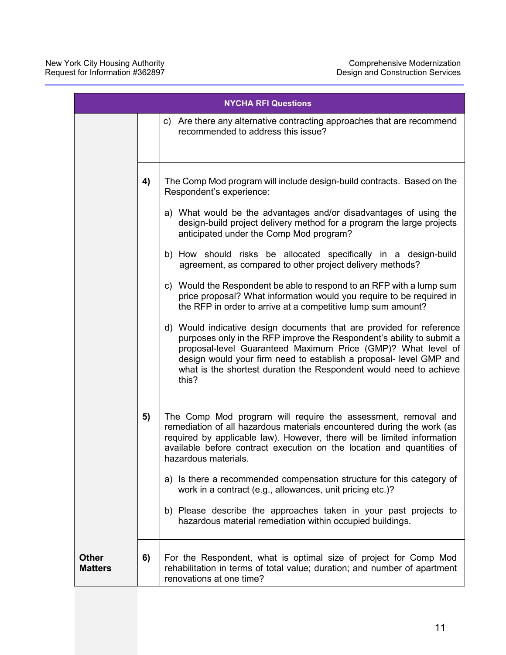| <b>NYCHA RFI Questions</b>     |    |                                                                                                                                                                                                                                                                                                                                                                    |
|--------------------------------|----|--------------------------------------------------------------------------------------------------------------------------------------------------------------------------------------------------------------------------------------------------------------------------------------------------------------------------------------------------------------------|
|                                |    | c) Are there any alternative contracting approaches that are recommend<br>recommended to address this issue?                                                                                                                                                                                                                                                       |
|                                | 4) | The Comp Mod program will include design-build contracts. Based on the<br>Respondent's experience:                                                                                                                                                                                                                                                                 |
|                                |    | a) What would be the advantages and/or disadvantages of using the<br>design-build project delivery method for a program the large projects<br>anticipated under the Comp Mod program?                                                                                                                                                                              |
|                                |    | b) How should risks be allocated specifically in a design-build<br>agreement, as compared to other project delivery methods?                                                                                                                                                                                                                                       |
|                                |    | c) Would the Respondent be able to respond to an RFP with a lump sum<br>price proposal? What information would you require to be required in<br>the RFP in order to arrive at a competitive lump sum amount?                                                                                                                                                       |
|                                |    | d) Would indicative design documents that are provided for reference<br>purposes only in the RFP improve the Respondent's ability to submit a<br>proposal-level Guaranteed Maximum Price (GMP)? What level of<br>design would your firm need to establish a proposal- level GMP and<br>what is the shortest duration the Respondent would need to achieve<br>this? |
|                                | 5) | The Comp Mod program will require the assessment, removal and<br>remediation of all hazardous materials encountered during the work (as<br>required by applicable law). However, there will be limited information<br>available before contract execution on the location and quantities of<br>hazardous materials.                                                |
|                                |    | a) Is there a recommended compensation structure for this category of<br>work in a contract (e.g., allowances, unit pricing etc.)?                                                                                                                                                                                                                                 |
|                                |    | b) Please describe the approaches taken in your past projects to<br>hazardous material remediation within occupied buildings.                                                                                                                                                                                                                                      |
| <b>Other</b><br><b>Matters</b> | 6) | For the Respondent, what is optimal size of project for Comp Mod<br>rehabilitation in terms of total value; duration; and number of apartment<br>renovations at one time?                                                                                                                                                                                          |